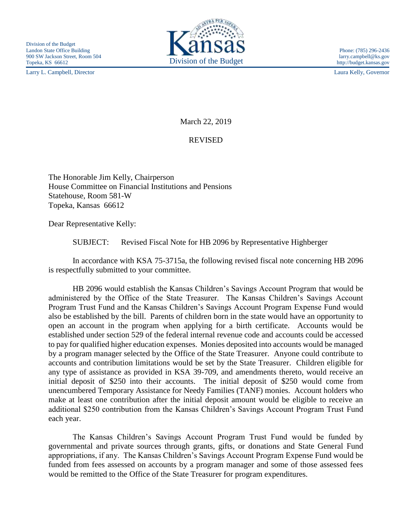Larry L. Campbell, Director Laura Kelly, Governor



http://budget.kansas.gov

March 22, 2019

## REVISED

The Honorable Jim Kelly, Chairperson House Committee on Financial Institutions and Pensions Statehouse, Room 581-W Topeka, Kansas 66612

Dear Representative Kelly:

SUBJECT: Revised Fiscal Note for HB 2096 by Representative Highberger

In accordance with KSA 75-3715a, the following revised fiscal note concerning HB 2096 is respectfully submitted to your committee.

HB 2096 would establish the Kansas Children's Savings Account Program that would be administered by the Office of the State Treasurer. The Kansas Children's Savings Account Program Trust Fund and the Kansas Children's Savings Account Program Expense Fund would also be established by the bill. Parents of children born in the state would have an opportunity to open an account in the program when applying for a birth certificate. Accounts would be established under section 529 of the federal internal revenue code and accounts could be accessed to pay for qualified higher education expenses. Monies deposited into accounts would be managed by a program manager selected by the Office of the State Treasurer. Anyone could contribute to accounts and contribution limitations would be set by the State Treasurer. Children eligible for any type of assistance as provided in KSA 39-709, and amendments thereto, would receive an initial deposit of \$250 into their accounts. The initial deposit of \$250 would come from unencumbered Temporary Assistance for Needy Families (TANF) monies. Account holders who make at least one contribution after the initial deposit amount would be eligible to receive an additional \$250 contribution from the Kansas Children's Savings Account Program Trust Fund each year.

The Kansas Children's Savings Account Program Trust Fund would be funded by governmental and private sources through grants, gifts, or donations and State General Fund appropriations, if any. The Kansas Children's Savings Account Program Expense Fund would be funded from fees assessed on accounts by a program manager and some of those assessed fees would be remitted to the Office of the State Treasurer for program expenditures.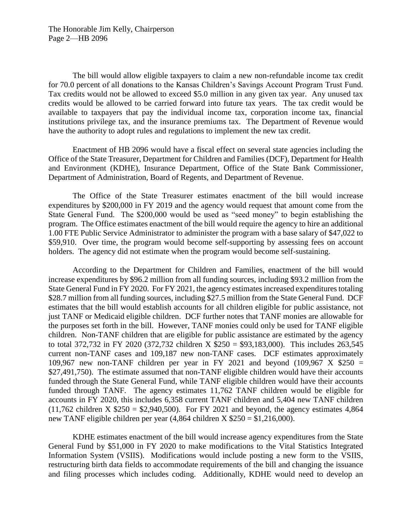The bill would allow eligible taxpayers to claim a new non-refundable income tax credit for 70.0 percent of all donations to the Kansas Children's Savings Account Program Trust Fund. Tax credits would not be allowed to exceed \$5.0 million in any given tax year. Any unused tax credits would be allowed to be carried forward into future tax years. The tax credit would be available to taxpayers that pay the individual income tax, corporation income tax, financial institutions privilege tax, and the insurance premiums tax. The Department of Revenue would have the authority to adopt rules and regulations to implement the new tax credit.

Enactment of HB 2096 would have a fiscal effect on several state agencies including the Office of the State Treasurer, Department for Children and Families (DCF), Department for Health and Environment (KDHE), Insurance Department, Office of the State Bank Commissioner, Department of Administration, Board of Regents, and Department of Revenue.

The Office of the State Treasurer estimates enactment of the bill would increase expenditures by \$200,000 in FY 2019 and the agency would request that amount come from the State General Fund. The \$200,000 would be used as "seed money" to begin establishing the program. The Office estimates enactment of the bill would require the agency to hire an additional 1.00 FTE Public Service Administrator to administer the program with a base salary of \$47,022 to \$59,910. Over time, the program would become self-supporting by assessing fees on account holders. The agency did not estimate when the program would become self-sustaining.

According to the Department for Children and Families, enactment of the bill would increase expenditures by \$96.2 million from all funding sources, including \$93.2 million from the State General Fund in FY 2020. For FY 2021, the agency estimates increased expenditures totaling \$28.7 million from all funding sources, including \$27.5 million from the State General Fund. DCF estimates that the bill would establish accounts for all children eligible for public assistance, not just TANF or Medicaid eligible children. DCF further notes that TANF monies are allowable for the purposes set forth in the bill. However, TANF monies could only be used for TANF eligible children. Non-TANF children that are eligible for public assistance are estimated by the agency to total 372,732 in FY 2020 (372,732 children X \$250 = \$93,183,000). This includes 263,545 current non-TANF cases and 109,187 new non-TANF cases. DCF estimates approximately 109,967 new non-TANF children per year in FY 2021 and beyond  $(109.967 \times $250 =$ \$27,491,750). The estimate assumed that non-TANF eligible children would have their accounts funded through the State General Fund, while TANF eligible children would have their accounts funded through TANF. The agency estimates 11,762 TANF children would be eligible for accounts in FY 2020, this includes 6,358 current TANF children and 5,404 new TANF children  $(11,762 \text{ children X } $250 = $2,940,500)$ . For FY 2021 and beyond, the agency estimates 4,864 new TANF eligible children per year (4,864 children X \$250 = \$1,216,000).

KDHE estimates enactment of the bill would increase agency expenditures from the State General Fund by \$51,000 in FY 2020 to make modifications to the Vital Statistics Integrated Information System (VSIIS). Modifications would include posting a new form to the VSIIS, restructuring birth data fields to accommodate requirements of the bill and changing the issuance and filing processes which includes coding. Additionally, KDHE would need to develop an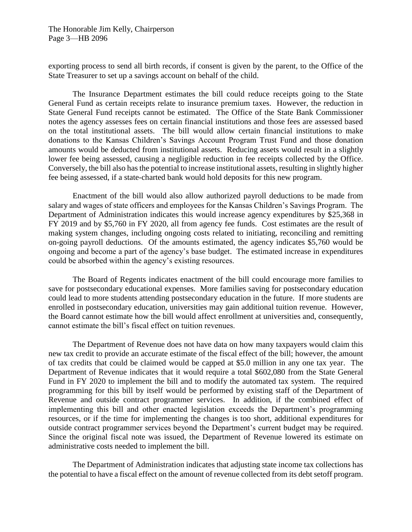The Honorable Jim Kelly, Chairperson Page 3—HB 2096

exporting process to send all birth records, if consent is given by the parent, to the Office of the State Treasurer to set up a savings account on behalf of the child.

The Insurance Department estimates the bill could reduce receipts going to the State General Fund as certain receipts relate to insurance premium taxes. However, the reduction in State General Fund receipts cannot be estimated. The Office of the State Bank Commissioner notes the agency assesses fees on certain financial institutions and those fees are assessed based on the total institutional assets. The bill would allow certain financial institutions to make donations to the Kansas Children's Savings Account Program Trust Fund and those donation amounts would be deducted from institutional assets. Reducing assets would result in a slightly lower fee being assessed, causing a negligible reduction in fee receipts collected by the Office. Conversely, the bill also has the potential to increase institutional assets, resulting in slightly higher fee being assessed, if a state-charted bank would hold deposits for this new program.

Enactment of the bill would also allow authorized payroll deductions to be made from salary and wages of state officers and employees for the Kansas Children's Savings Program. The Department of Administration indicates this would increase agency expenditures by \$25,368 in FY 2019 and by \$5,760 in FY 2020, all from agency fee funds. Cost estimates are the result of making system changes, including ongoing costs related to initiating, reconciling and remitting on-going payroll deductions. Of the amounts estimated, the agency indicates \$5,760 would be ongoing and become a part of the agency's base budget. The estimated increase in expenditures could be absorbed within the agency's existing resources.

The Board of Regents indicates enactment of the bill could encourage more families to save for postsecondary educational expenses. More families saving for postsecondary education could lead to more students attending postsecondary education in the future. If more students are enrolled in postsecondary education, universities may gain additional tuition revenue. However, the Board cannot estimate how the bill would affect enrollment at universities and, consequently, cannot estimate the bill's fiscal effect on tuition revenues.

The Department of Revenue does not have data on how many taxpayers would claim this new tax credit to provide an accurate estimate of the fiscal effect of the bill; however, the amount of tax credits that could be claimed would be capped at \$5.0 million in any one tax year. The Department of Revenue indicates that it would require a total \$602,080 from the State General Fund in FY 2020 to implement the bill and to modify the automated tax system. The required programming for this bill by itself would be performed by existing staff of the Department of Revenue and outside contract programmer services. In addition, if the combined effect of implementing this bill and other enacted legislation exceeds the Department's programming resources, or if the time for implementing the changes is too short, additional expenditures for outside contract programmer services beyond the Department's current budget may be required. Since the original fiscal note was issued, the Department of Revenue lowered its estimate on administrative costs needed to implement the bill.

The Department of Administration indicates that adjusting state income tax collections has the potential to have a fiscal effect on the amount of revenue collected from its debt setoff program.